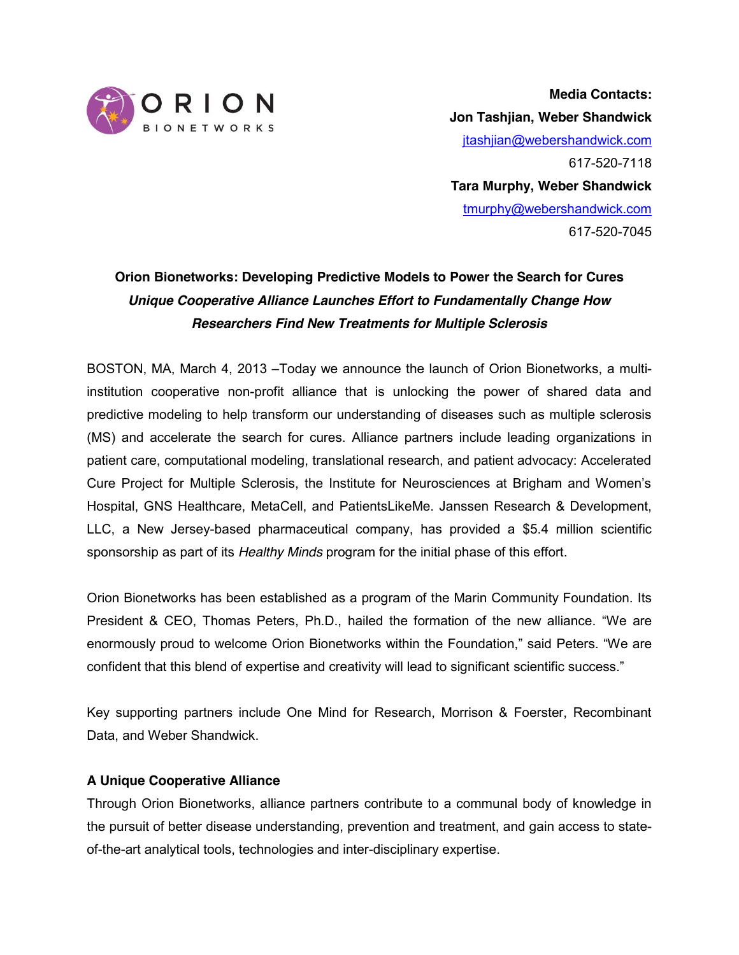

**Media Contacts: Jon Tashjian, Weber Shandwick** [jtashjian@webershandwick.com](mailto:jtashjian@webershandwick.com) 617-520-7118 **Tara Murphy, Weber Shandwick** [tmurphy@webershandwick.com](mailto:tmurphy@webershandwick.com) 617-520-7045

# **Orion Bionetworks: Developing Predictive Models to Power the Search for Cures** *Unique Cooperative Alliance Launches Effort to Fundamentally Change How Researchers Find New Treatments for Multiple Sclerosis*

BOSTON, MA, March 4, 2013 –Today we announce the launch of Orion Bionetworks, a multiinstitution cooperative non-profit alliance that is unlocking the power of shared data and predictive modeling to help transform our understanding of diseases such as multiple sclerosis (MS) and accelerate the search for cures. Alliance partners include leading organizations in patient care, computational modeling, translational research, and patient advocacy: Accelerated Cure Project for Multiple Sclerosis, the Institute for Neurosciences at Brigham and Women's Hospital, GNS Healthcare, MetaCell, and PatientsLikeMe. Janssen Research & Development, LLC, a New Jersey-based pharmaceutical company, has provided a \$5.4 million scientific sponsorship as part of its *Healthy Minds* program for the initial phase of this effort.

Orion Bionetworks has been established as a program of the Marin Community Foundation. Its President & CEO, Thomas Peters, Ph.D., hailed the formation of the new alliance. "We are enormously proud to welcome Orion Bionetworks within the Foundation," said Peters. "We are confident that this blend of expertise and creativity will lead to significant scientific success."

Key supporting partners include One Mind for Research, Morrison & Foerster, Recombinant Data, and Weber Shandwick.

# **A Unique Cooperative Alliance**

Through Orion Bionetworks, alliance partners contribute to a communal body of knowledge in the pursuit of better disease understanding, prevention and treatment, and gain access to stateof-the-art analytical tools, technologies and inter-disciplinary expertise.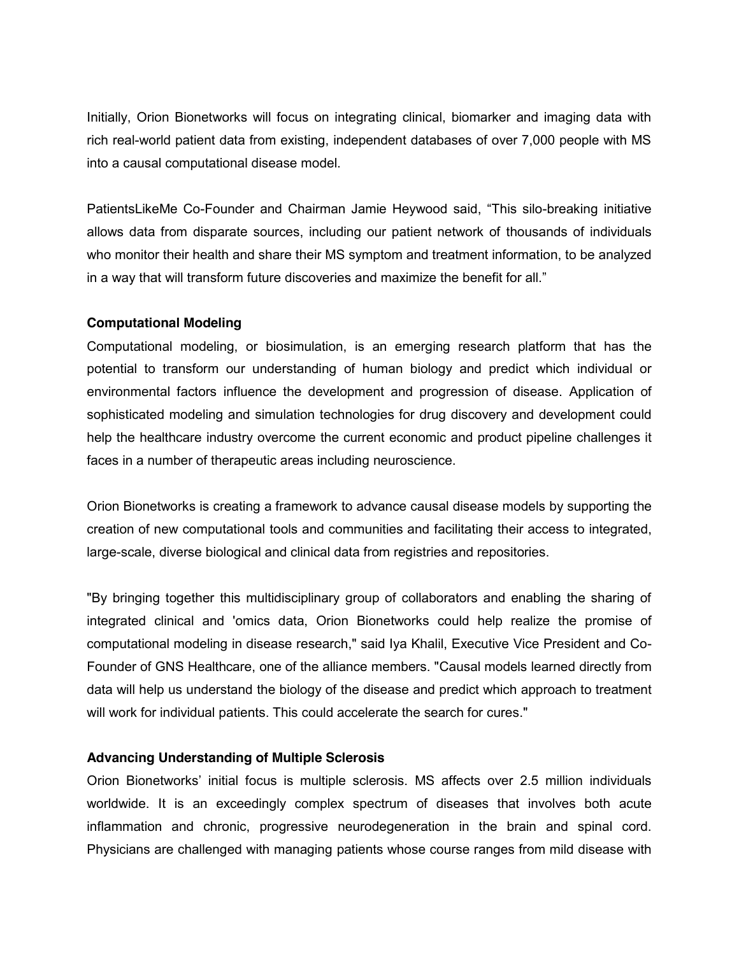Initially, Orion Bionetworks will focus on integrating clinical, biomarker and imaging data with rich real-world patient data from existing, independent databases of over 7,000 people with MS into a causal computational disease model.

PatientsLikeMe Co-Founder and Chairman Jamie Heywood said, "This silo-breaking initiative allows data from disparate sources, including our patient network of thousands of individuals who monitor their health and share their MS symptom and treatment information, to be analyzed in a way that will transform future discoveries and maximize the benefit for all."

## **Computational Modeling**

Computational modeling, or biosimulation, is an emerging research platform that has the potential to transform our understanding of human biology and predict which individual or environmental factors influence the development and progression of disease. Application of sophisticated modeling and simulation technologies for drug discovery and development could help the healthcare industry overcome the current economic and product pipeline challenges it faces in a number of therapeutic areas including neuroscience.

Orion Bionetworks is creating a framework to advance causal disease models by supporting the creation of new computational tools and communities and facilitating their access to integrated, large-scale, diverse biological and clinical data from registries and repositories.

"By bringing together this multidisciplinary group of collaborators and enabling the sharing of integrated clinical and 'omics data, Orion Bionetworks could help realize the promise of computational modeling in disease research," said Iya Khalil, Executive Vice President and Co-Founder of GNS Healthcare, one of the alliance members. "Causal models learned directly from data will help us understand the biology of the disease and predict which approach to treatment will work for individual patients. This could accelerate the search for cures."

### **Advancing Understanding of Multiple Sclerosis**

Orion Bionetworks' initial focus is multiple sclerosis. MS affects over 2.5 million individuals worldwide. It is an exceedingly complex spectrum of diseases that involves both acute inflammation and chronic, progressive neurodegeneration in the brain and spinal cord. Physicians are challenged with managing patients whose course ranges from mild disease with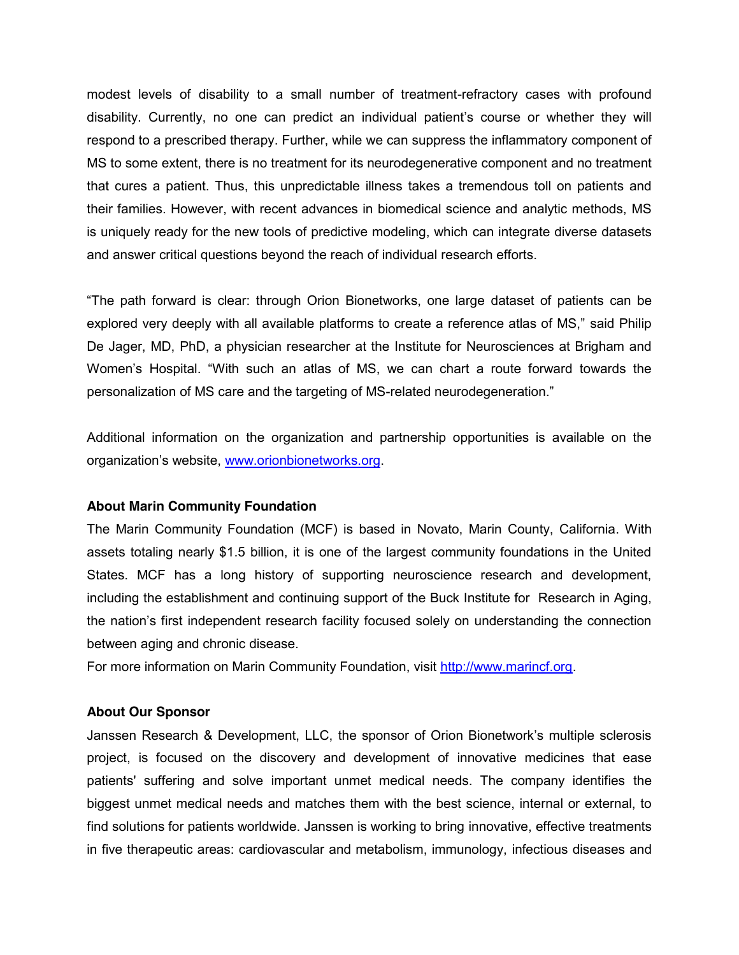modest levels of disability to a small number of treatment-refractory cases with profound disability. Currently, no one can predict an individual patient's course or whether they will respond to a prescribed therapy. Further, while we can suppress the inflammatory component of MS to some extent, there is no treatment for its neurodegenerative component and no treatment that cures a patient. Thus, this unpredictable illness takes a tremendous toll on patients and their families. However, with recent advances in biomedical science and analytic methods, MS is uniquely ready for the new tools of predictive modeling, which can integrate diverse datasets and answer critical questions beyond the reach of individual research efforts.

"The path forward is clear: through Orion Bionetworks, one large dataset of patients can be explored very deeply with all available platforms to create a reference atlas of MS," said Philip De Jager, MD, PhD, a physician researcher at the Institute for Neurosciences at Brigham and Women's Hospital. "With such an atlas of MS, we can chart a route forward towards the personalization of MS care and the targeting of MS-related neurodegeneration."

Additional information on the organization and partnership opportunities is available on the organization's website, [www.orionbionetworks.org.](http://www.orionbionetworks.org/)

### **About Marin Community Foundation**

The Marin Community Foundation (MCF) is based in Novato, Marin County, California. With assets totaling nearly \$1.5 billion, it is one of the largest community foundations in the United States. MCF has a long history of supporting neuroscience research and development, including the establishment and continuing support of the Buck Institute for Research in Aging, the nation's first independent research facility focused solely on understanding the connection between aging and chronic disease.

For more information on Marin Community Foundation, visit [http://www.marincf.org.](http://www.marincf.org/)

#### **About Our Sponsor**

Janssen Research & Development, LLC, the sponsor of Orion Bionetwork's multiple sclerosis project, is focused on the discovery and development of innovative medicines that ease patients' suffering and solve important unmet medical needs. The company identifies the biggest unmet medical needs and matches them with the best science, internal or external, to find solutions for patients worldwide. Janssen is working to bring innovative, effective treatments in five therapeutic areas: cardiovascular and metabolism, immunology, infectious diseases and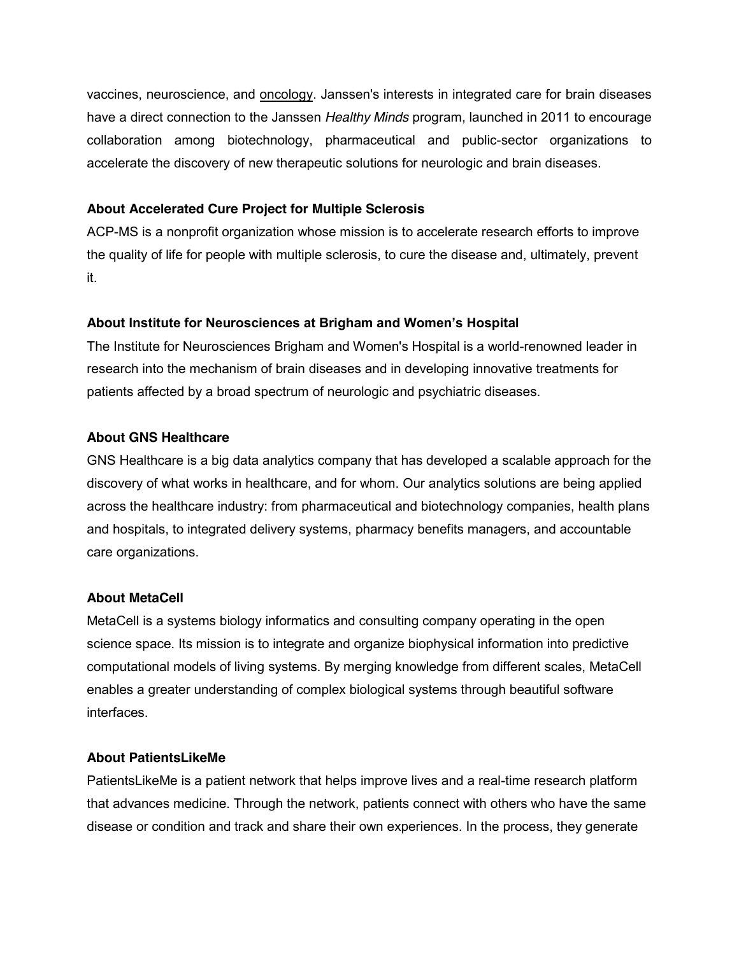vaccines, neuroscience, and [oncology.](http://oncology.janssenrnd.com/) Janssen's interests in integrated care for brain diseases have a direct connection to the Janssen *Healthy Minds* program, launched in 2011 to encourage collaboration among biotechnology, pharmaceutical and public-sector organizations to accelerate the discovery of new therapeutic solutions for neurologic and brain diseases.

# **About Accelerated Cure Project for Multiple Sclerosis**

ACP-MS is a nonprofit organization whose mission is to accelerate research efforts to improve the quality of life for people with multiple sclerosis, to cure the disease and, ultimately, prevent it.

# **About Institute for Neurosciences at Brigham and Women's Hospital**

The Institute for Neurosciences Brigham and Women's Hospital is a world-renowned leader in research into the mechanism of brain diseases and in developing innovative treatments for patients affected by a broad spectrum of neurologic and psychiatric diseases.

# **About GNS Healthcare**

GNS Healthcare is a big data analytics company that has developed a scalable approach for the discovery of what works in healthcare, and for whom. Our analytics solutions are being applied across the healthcare industry: from pharmaceutical and biotechnology companies, health plans and hospitals, to integrated delivery systems, pharmacy benefits managers, and accountable care organizations.

# **About MetaCell**

MetaCell is a systems biology informatics and consulting company operating in the open science space. Its mission is to integrate and organize biophysical information into predictive computational models of living systems. By merging knowledge from different scales, MetaCell enables a greater understanding of complex biological systems through beautiful software interfaces.

# **About PatientsLikeMe**

PatientsLikeMe is a patient network that helps improve lives and a real-time research platform that advances medicine. Through the network, patients connect with others who have the same disease or condition and track and share their own experiences. In the process, they generate